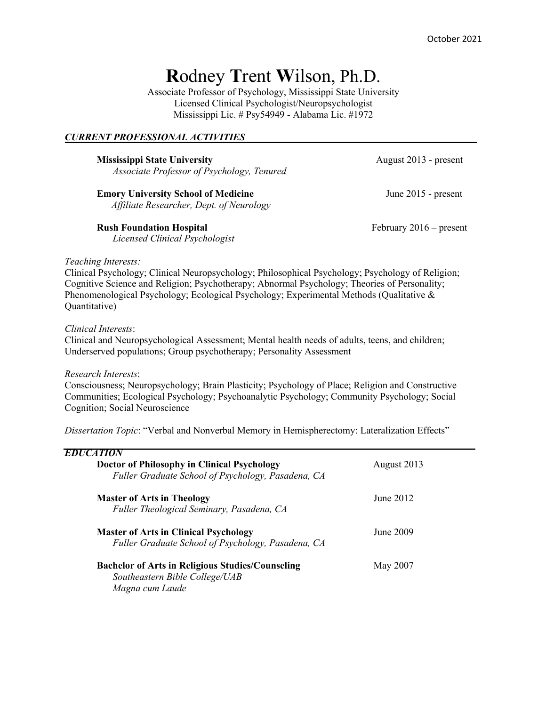# **R**odney **T**rent **W**ilson, Ph.D.

Associate Professor of Psychology, Mississippi State University Licensed Clinical Psychologist/Neuropsychologist Mississippi Lic. # Psy54949 - Alabama Lic. #1972

# *CURRENT PROFESSIONAL ACTIVITIES*

**Mississippi State University August 2013 - present** *Associate Professor of Psychology, Tenured*

**Emory University School of Medicine**  June 2015 - present *Affiliate Researcher, Dept. of Neurology*

**Rush Foundation Hospital**  February 2016 – present

*Licensed Clinical Psychologist*

#### *Teaching Interests:*

Clinical Psychology; Clinical Neuropsychology; Philosophical Psychology; Psychology of Religion; Cognitive Science and Religion; Psychotherapy; Abnormal Psychology; Theories of Personality; Phenomenological Psychology; Ecological Psychology; Experimental Methods (Qualitative & Quantitative)

#### *Clinical Interests*:

Clinical and Neuropsychological Assessment; Mental health needs of adults, teens, and children; Underserved populations; Group psychotherapy; Personality Assessment

#### *Research Interests*:

Consciousness; Neuropsychology; Brain Plasticity; Psychology of Place; Religion and Constructive Communities; Ecological Psychology; Psychoanalytic Psychology; Community Psychology; Social Cognition; Social Neuroscience

*Dissertation Topic*: "Verbal and Nonverbal Memory in Hemispherectomy: Lateralization Effects"

| EDU                                                                                                          |             |
|--------------------------------------------------------------------------------------------------------------|-------------|
| Doctor of Philosophy in Clinical Psychology<br>Fuller Graduate School of Psychology, Pasadena, CA            | August 2013 |
| <b>Master of Arts in Theology</b><br>Fuller Theological Seminary, Pasadena, CA                               | June 2012   |
| <b>Master of Arts in Clinical Psychology</b><br>Fuller Graduate School of Psychology, Pasadena, CA           | June 2009   |
| <b>Bachelor of Arts in Religious Studies/Counseling</b><br>Southeastern Bible College/UAB<br>Magna cum Laude | May 2007    |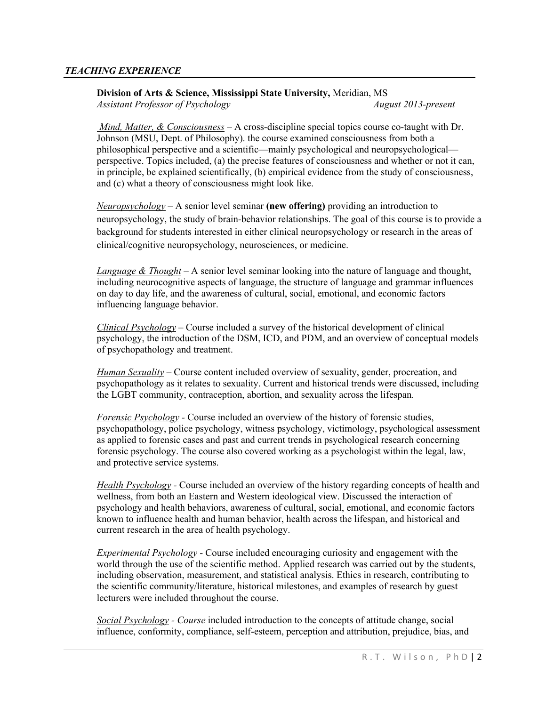# *TEACHING EXPERIENCE*

**Division of Arts & Science, Mississippi State University,** Meridian, MS *Assistant Professor of Psychology August 2013-present* 

*Mind, Matter, & Consciousness* – A cross-discipline special topics course co-taught with Dr. Johnson (MSU, Dept. of Philosophy). the course examined consciousness from both a philosophical perspective and a scientific—mainly psychological and neuropsychological perspective. Topics included, (a) the precise features of consciousness and whether or not it can, in principle, be explained scientifically, (b) empirical evidence from the study of consciousness, and (c) what a theory of consciousness might look like.

*Neuropsychology –* A senior level seminar **(new offering)** providing an introduction to neuropsychology, the study of brain-behavior relationships. The goal of this course is to provide a background for students interested in either clinical neuropsychology or research in the areas of clinical/cognitive neuropsychology, neurosciences, or medicine.

*Language & Thought* – A senior level seminar looking into the nature of language and thought, including neurocognitive aspects of language, the structure of language and grammar influences on day to day life, and the awareness of cultural, social, emotional, and economic factors influencing language behavior.

*Clinical Psychology –* Course included a survey of the historical development of clinical psychology, the introduction of the DSM, ICD, and PDM, and an overview of conceptual models of psychopathology and treatment.

*Human Sexuality* – Course content included overview of sexuality, gender, procreation, and psychopathology as it relates to sexuality. Current and historical trends were discussed, including the LGBT community, contraception, abortion, and sexuality across the lifespan.

*Forensic Psychology -* Course included an overview of the history of forensic studies, psychopathology, police psychology, witness psychology, victimology, psychological assessment as applied to forensic cases and past and current trends in psychological research concerning forensic psychology. The course also covered working as a psychologist within the legal, law, and protective service systems.

*Health Psychology -* Course included an overview of the history regarding concepts of health and wellness, from both an Eastern and Western ideological view. Discussed the interaction of psychology and health behaviors, awareness of cultural, social, emotional, and economic factors known to influence health and human behavior, health across the lifespan, and historical and current research in the area of health psychology.

*Experimental Psychology* - Course included encouraging curiosity and engagement with the world through the use of the scientific method. Applied research was carried out by the students, including observation, measurement, and statistical analysis. Ethics in research, contributing to the scientific community/literature, historical milestones, and examples of research by guest lecturers were included throughout the course.

*Social Psychology - Course* included introduction to the concepts of attitude change, social influence, conformity, compliance, self-esteem, perception and attribution, prejudice, bias, and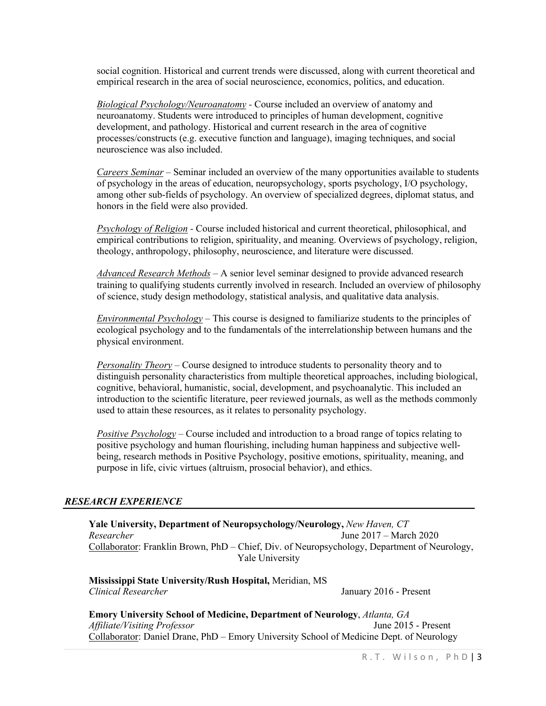social cognition. Historical and current trends were discussed, along with current theoretical and empirical research in the area of social neuroscience, economics, politics, and education.

*Biological Psychology/Neuroanatomy -* Course included an overview of anatomy and neuroanatomy. Students were introduced to principles of human development, cognitive development, and pathology. Historical and current research in the area of cognitive processes/constructs (e.g. executive function and language), imaging techniques, and social neuroscience was also included.

*Careers Seminar –* Seminar included an overview of the many opportunities available to students of psychology in the areas of education, neuropsychology, sports psychology, I/O psychology, among other sub-fields of psychology. An overview of specialized degrees, diplomat status, and honors in the field were also provided.

*Psychology of Religion -* Course included historical and current theoretical, philosophical, and empirical contributions to religion, spirituality, and meaning. Overviews of psychology, religion, theology, anthropology, philosophy, neuroscience, and literature were discussed.

*Advanced Research Methods –* A senior level seminar designed to provide advanced research training to qualifying students currently involved in research. Included an overview of philosophy of science, study design methodology, statistical analysis, and qualitative data analysis.

*Environmental Psychology –* This course is designed to familiarize students to the principles of ecological psychology and to the fundamentals of the interrelationship between humans and the physical environment.

*Personality Theory –* Course designed to introduce students to personality theory and to distinguish personality characteristics from multiple theoretical approaches, including biological, cognitive, behavioral, humanistic, social, development, and psychoanalytic. This included an introduction to the scientific literature, peer reviewed journals, as well as the methods commonly used to attain these resources, as it relates to personality psychology.

*Positive Psychology –* Course included and introduction to a broad range of topics relating to positive psychology and human flourishing, including human happiness and subjective wellbeing, research methods in Positive Psychology, positive emotions, spirituality, meaning, and purpose in life, civic virtues (altruism, prosocial behavior), and ethics.

#### *RESEARCH EXPERIENCE*

**Yale University, Department of Neuropsychology/Neurology,** *New Haven, CT Researcher* June 2017 – March 2020 Collaborator: Franklin Brown, PhD – Chief, Div. of Neuropsychology, Department of Neurology, Yale University

**Mississippi State University/Rush Hospital,** Meridian, MS *Clinical Researcher* January 2016 - Present

**Emory University School of Medicine, Department of Neurology**, *Atlanta, GA Affiliate/Visiting Professor* June 2015 - Present Collaborator: Daniel Drane, PhD – Emory University School of Medicine Dept. of Neurology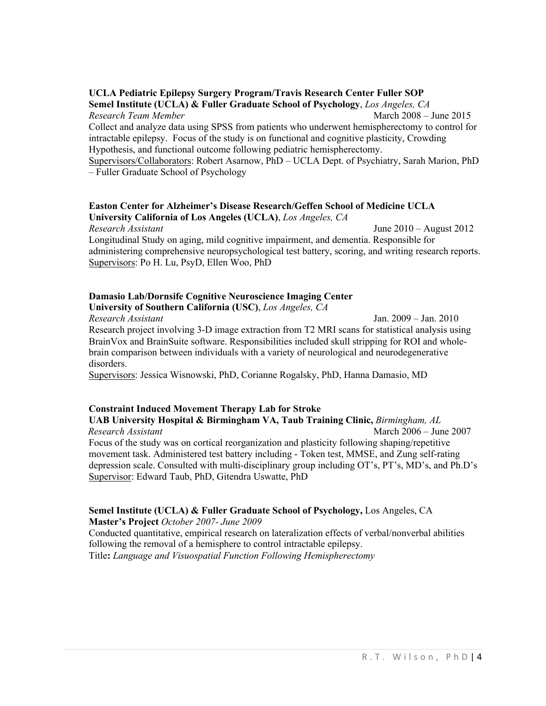# **UCLA Pediatric Epilepsy Surgery Program/Travis Research Center Fuller SOP**

**Semel Institute (UCLA) & Fuller Graduate School of Psychology**, *Los Angeles, CA Research Team Member* March 2008 – June 2015 Collect and analyze data using SPSS from patients who underwent hemispherectomy to control for intractable epilepsy. Focus of the study is on functional and cognitive plasticity, Crowding Hypothesis, and functional outcome following pediatric hemispherectomy. Supervisors/Collaborators: Robert Asarnow, PhD – UCLA Dept. of Psychiatry, Sarah Marion, PhD

– Fuller Graduate School of Psychology

## **Easton Center for Alzheimer's Disease Research/Geffen School of Medicine UCLA University California of Los Angeles (UCLA)**, *Los Angeles, CA*

*Research Assistant* June 2010 – August 2012 Longitudinal Study on aging, mild cognitive impairment, and dementia. Responsible for administering comprehensive neuropsychological test battery, scoring, and writing research reports. Supervisors: Po H. Lu, PsyD, Ellen Woo, PhD

# **Damasio Lab/Dornsife Cognitive Neuroscience Imaging Center**

**University of Southern California (USC)**, *Los Angeles, CA*

*Research Assistant* Jan. 2009 – Jan. 2010 Research project involving 3-D image extraction from T2 MRI scans for statistical analysis using BrainVox and BrainSuite software. Responsibilities included skull stripping for ROI and wholebrain comparison between individuals with a variety of neurological and neurodegenerative disorders.

Supervisors: Jessica Wisnowski, PhD, Corianne Rogalsky, PhD, Hanna Damasio, MD

# **Constraint Induced Movement Therapy Lab for Stroke**

**UAB University Hospital & Birmingham VA, Taub Training Clinic,** *Birmingham, AL Research Assistant* March 2006 – June 2007 Focus of the study was on cortical reorganization and plasticity following shaping/repetitive movement task. Administered test battery including - Token test, MMSE, and Zung self-rating depression scale. Consulted with multi-disciplinary group including OT's, PT's, MD's, and Ph.D's Supervisor: Edward Taub, PhD, Gitendra Uswatte, PhD

# **Semel Institute (UCLA) & Fuller Graduate School of Psychology,** Los Angeles, CA

**Master's Project** *October 2007- June 2009*

Conducted quantitative, empirical research on lateralization effects of verbal/nonverbal abilities following the removal of a hemisphere to control intractable epilepsy. Title**:** *Language and Visuospatial Function Following Hemispherectomy*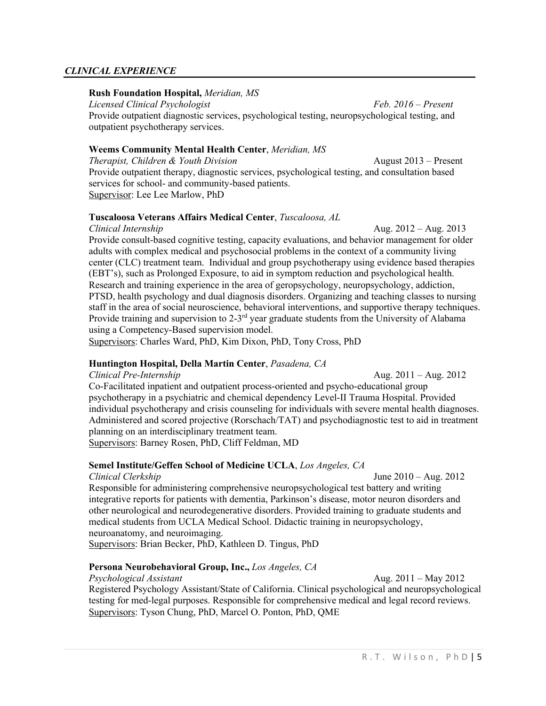# *CLINICAL EXPERIENCE*

# **Rush Foundation Hospital,** *Meridian, MS*

*Licensed Clinical Psychologist Feb. 2016 – Present* Provide outpatient diagnostic services, psychological testing, neuropsychological testing, and outpatient psychotherapy services.

# **Weems Community Mental Health Center**, *Meridian, MS*

*Therapist, Children & Youth Division* August 2013 – Present Provide outpatient therapy, diagnostic services, psychological testing, and consultation based services for school- and community-based patients. Supervisor: Lee Lee Marlow, PhD

# **Tuscaloosa Veterans Affairs Medical Center**, *Tuscaloosa, AL*

*Clinical Internship* Aug. 2012 – Aug. 2013 Provide consult-based cognitive testing, capacity evaluations, and behavior management for older adults with complex medical and psychosocial problems in the context of a community living center (CLC) treatment team. Individual and group psychotherapy using evidence based therapies (EBT's), such as Prolonged Exposure, to aid in symptom reduction and psychological health. Research and training experience in the area of geropsychology, neuropsychology, addiction, PTSD, health psychology and dual diagnosis disorders. Organizing and teaching classes to nursing staff in the area of social neuroscience, behavioral interventions, and supportive therapy techniques. Provide training and supervision to  $2-3<sup>rd</sup>$  year graduate students from the University of Alabama using a Competency-Based supervision model.

Supervisors: Charles Ward, PhD, Kim Dixon, PhD, Tony Cross, PhD

# **Huntington Hospital, Della Martin Center**, *Pasadena, CA*

*Clinical Pre-Internship* Aug. 2011 – Aug. 2012 Co-Facilitated inpatient and outpatient process-oriented and psycho-educational group psychotherapy in a psychiatric and chemical dependency Level-II Trauma Hospital. Provided individual psychotherapy and crisis counseling for individuals with severe mental health diagnoses. Administered and scored projective (Rorschach/TAT) and psychodiagnostic test to aid in treatment planning on an interdisciplinary treatment team. Supervisors: Barney Rosen, PhD, Cliff Feldman, MD

#### **Semel Institute/Geffen School of Medicine UCLA**, *Los Angeles, CA*

*Clinical Clerkship* June 2010 – Aug. 2012

Responsible for administering comprehensive neuropsychological test battery and writing integrative reports for patients with dementia, Parkinson's disease, motor neuron disorders and other neurological and neurodegenerative disorders. Provided training to graduate students and medical students from UCLA Medical School. Didactic training in neuropsychology, neuroanatomy, and neuroimaging.

Supervisors: Brian Becker, PhD, Kathleen D. Tingus, PhD

# **Persona Neurobehavioral Group, Inc.,** *Los Angeles, CA*

*Psychological Assistant* Aug. 2011 – May 2012 Registered Psychology Assistant/State of California. Clinical psychological and neuropsychological testing for med-legal purposes. Responsible for comprehensive medical and legal record reviews. Supervisors: Tyson Chung, PhD, Marcel O. Ponton, PhD, QME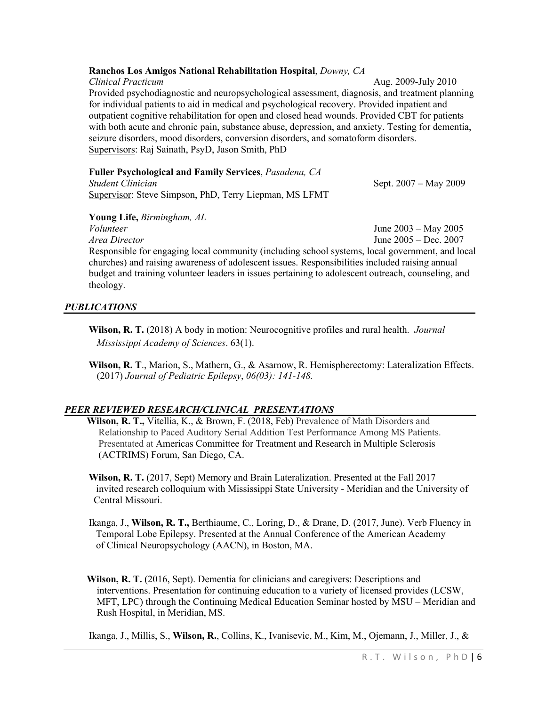# **Ranchos Los Amigos National Rehabilitation Hospital**, *Downy, CA*

*Clinical Practicum* Aug. 2009-July 2010 Provided psychodiagnostic and neuropsychological assessment, diagnosis, and treatment planning for individual patients to aid in medical and psychological recovery. Provided inpatient and outpatient cognitive rehabilitation for open and closed head wounds. Provided CBT for patients with both acute and chronic pain, substance abuse, depression, and anxiety. Testing for dementia, seizure disorders, mood disorders, conversion disorders, and somatoform disorders. Supervisors: Raj Sainath, PsyD, Jason Smith, PhD

# **Fuller Psychological and Family Services**, *Pasadena, CA*

*Student Clinician* Sept. 2007 – May 2009 Supervisor: Steve Simpson, PhD, Terry Liepman, MS LFMT

**Young Life,** *Birmingham, AL* 

*Volunteer* June 2003 – May 2005

*Area Director* June 2005 – Dec. 2007 Responsible for engaging local community (including school systems, local government, and local churches) and raising awareness of adolescent issues. Responsibilities included raising annual budget and training volunteer leaders in issues pertaining to adolescent outreach, counseling, and theology.

# *PUBLICATIONS*

- **Wilson, R. T.** (2018) A body in motion: Neurocognitive profiles and rural health. *Journal Mississippi Academy of Sciences*. 63(1).
- **Wilson, R. T**., Marion, S., Mathern, G., & Asarnow, R. Hemispherectomy: Lateralization Effects. (2017) *Journal of Pediatric Epilepsy*, *06(03): 141-148.*

# *PEER REVIEWED RESEARCH/CLINICAL PRESENTATIONS*

 **Wilson, R. T.,** Vitellia, K., & Brown, F. (2018, Feb) Prevalence of Math Disorders and Relationship to Paced Auditory Serial Addition Test Performance Among MS Patients. Presentated at Americas Committee for Treatment and Research in Multiple Sclerosis (ACTRIMS) Forum, San Diego, CA.

**Wilson, R. T.** (2017, Sept) Memory and Brain Lateralization. Presented at the Fall 2017 invited research colloquium with Mississippi State University - Meridian and the University of Central Missouri.

- Ikanga, J., **Wilson, R. T.,** Berthiaume, C., Loring, D., & Drane, D. (2017, June). Verb Fluency in Temporal Lobe Epilepsy. Presented at the Annual Conference of the American Academy of Clinical Neuropsychology (AACN), in Boston, MA.
- **Wilson, R. T.** (2016, Sept). Dementia for clinicians and caregivers: Descriptions and interventions. Presentation for continuing education to a variety of licensed provides (LCSW, MFT, LPC) through the Continuing Medical Education Seminar hosted by MSU – Meridian and Rush Hospital, in Meridian, MS.

Ikanga, J., Millis, S., **Wilson, R.**, Collins, K., Ivanisevic, M., Kim, M., Ojemann, J., Miller, J., &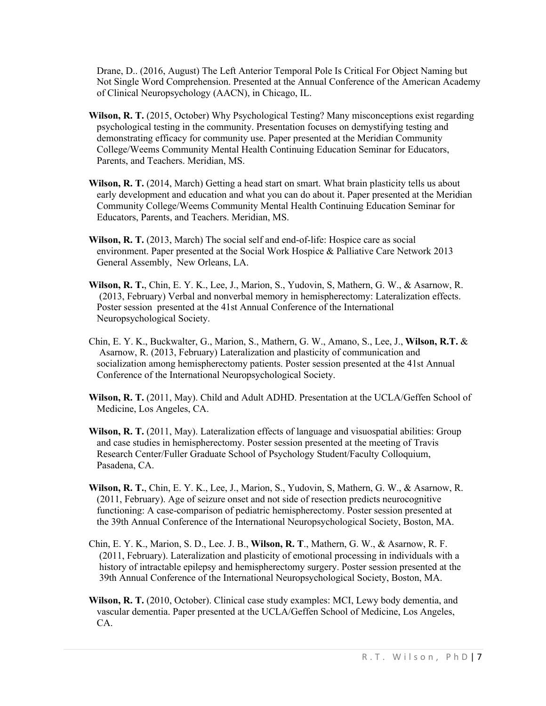Drane, D.. (2016, August) The Left Anterior Temporal Pole Is Critical For Object Naming but Not Single Word Comprehension. Presented at the Annual Conference of the American Academy of Clinical Neuropsychology (AACN), in Chicago, IL.

- **Wilson, R. T.** (2015, October) Why Psychological Testing? Many misconceptions exist regarding psychological testing in the community. Presentation focuses on demystifying testing and demonstrating efficacy for community use. Paper presented at the Meridian Community College/Weems Community Mental Health Continuing Education Seminar for Educators, Parents, and Teachers. Meridian, MS.
- **Wilson, R. T.** (2014, March) Getting a head start on smart. What brain plasticity tells us about early development and education and what you can do about it. Paper presented at the Meridian Community College/Weems Community Mental Health Continuing Education Seminar for Educators, Parents, and Teachers. Meridian, MS.
- **Wilson, R. T.** (2013, March) The social self and end-of-life: Hospice care as social environment. Paper presented at the Social Work Hospice & Palliative Care Network 2013 General Assembly, New Orleans, LA.
- **Wilson, R. T.**, Chin, E. Y. K., Lee, J., Marion, S., Yudovin, S, Mathern, G. W., & Asarnow, R. (2013, February) Verbal and nonverbal memory in hemispherectomy: Lateralization effects. Poster session presented at the 41st Annual Conference of the International Neuropsychological Society.
- Chin, E. Y. K., Buckwalter, G., Marion, S., Mathern, G. W., Amano, S., Lee, J., **Wilson, R.T.** & Asarnow, R. (2013, February) Lateralization and plasticity of communication and socialization among hemispherectomy patients. Poster session presented at the 41st Annual Conference of the International Neuropsychological Society.
- **Wilson, R. T.** (2011, May). Child and Adult ADHD. Presentation at the UCLA/Geffen School of Medicine, Los Angeles, CA.
- **Wilson, R. T.** (2011, May). Lateralization effects of language and visuospatial abilities: Group and case studies in hemispherectomy. Poster session presented at the meeting of Travis Research Center/Fuller Graduate School of Psychology Student/Faculty Colloquium, Pasadena, CA.
- **Wilson, R. T.**, Chin, E. Y. K., Lee, J., Marion, S., Yudovin, S, Mathern, G. W., & Asarnow, R. (2011, February). Age of seizure onset and not side of resection predicts neurocognitive functioning: A case-comparison of pediatric hemispherectomy. Poster session presented at the 39th Annual Conference of the International Neuropsychological Society, Boston, MA.
- Chin, E. Y. K., Marion, S. D., Lee. J. B., **Wilson, R. T**., Mathern, G. W., & Asarnow, R. F. (2011, February). Lateralization and plasticity of emotional processing in individuals with a history of intractable epilepsy and hemispherectomy surgery. Poster session presented at the 39th Annual Conference of the International Neuropsychological Society, Boston, MA.
- **Wilson, R. T.** (2010, October). Clinical case study examples: MCI, Lewy body dementia, and vascular dementia. Paper presented at the UCLA/Geffen School of Medicine, Los Angeles, CA.